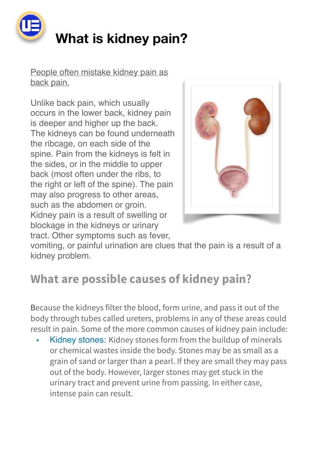

People often mistake kidney pain as [back pain](https://my.clevelandclinic.org/health/diseases/9516-back-pain-basics).

Unlike back pain, which usually occurs in the lower back, kidney pain is deeper and higher up the back. The kidneys can be found underneath the ribcage, on each side of the spine. Pain from the kidneys is felt in the sides, or in the middle to upper back (most often under the ribs, to the right or left of the spine). The pain may also progress to other areas, such as the abdomen or groin. Kidney pain is a result of swelling or blockage in the kidneys or urinary tract. Other symptoms such as [fever,](https://my.clevelandclinic.org/health/symptoms/10880-fever)



vomiting, or painful urination are clues that the pain is a result of a kidney problem.

## **What are possible causes of kidney pain**?

Because the kidneys filter the blood, form urine, and pass it out of the body through tubes called ureters, problems in any of these areas could result in pain. Some of the more common causes of kidney pain include:

Kidney stones: Kidney stones form from the buildup of minerals or chemical wastes inside the body. Stones may be as small as a grain of sand or larger than a pearl. If they are small they may pass out of the body. However, larger stones may get stuck in the urinary tract and prevent urine from passing. In either case, intense pain can result.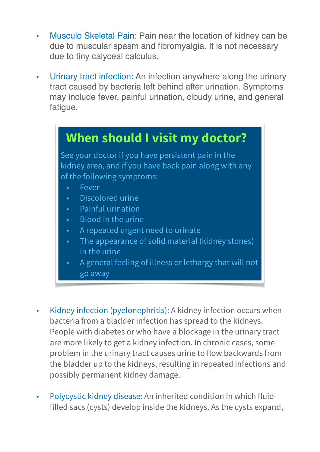- Musculo Skeletal Pain: Pain near the location of kidney can be due to muscular spasm and fibromyalgia. It is not necessary due to tiny calyceal calculus.
- Urinary tract infection: An infection anywhere along the urinary tract caused by bacteria left behind after urination. Symptoms may include fever, painful urination, cloudy urine, and general fatigue.

## **When should I visit my doctor?**

See your doctor if you have persistent pain in the kidney area, and if you have back pain along with any of the following symptoms:

- Fever
- Discolored urine
- Painful urination
- Blood in the urine
- A repeated urgent need to urinate
- The appearance of solid material (kidney stones) in the urine
- A general feeling of illness or lethargy that will not go away
- Kidney infection (pyelonephritis): A kidney infection occurs when bacteria from a bladder infection has spread to the kidneys. People with diabetes or who have a blockage in the urinary tract are more likely to get a kidney infection. In chronic cases, some problem in the urinary tract causes urine to flow backwards from the bladder up to the kidneys, resulting in repeated infections and possibly permanent kidney damage.
- Polycystic kidney disease: An inherited condition in which fluidfilled sacs (cysts) develop inside the kidneys. As the cysts expand,